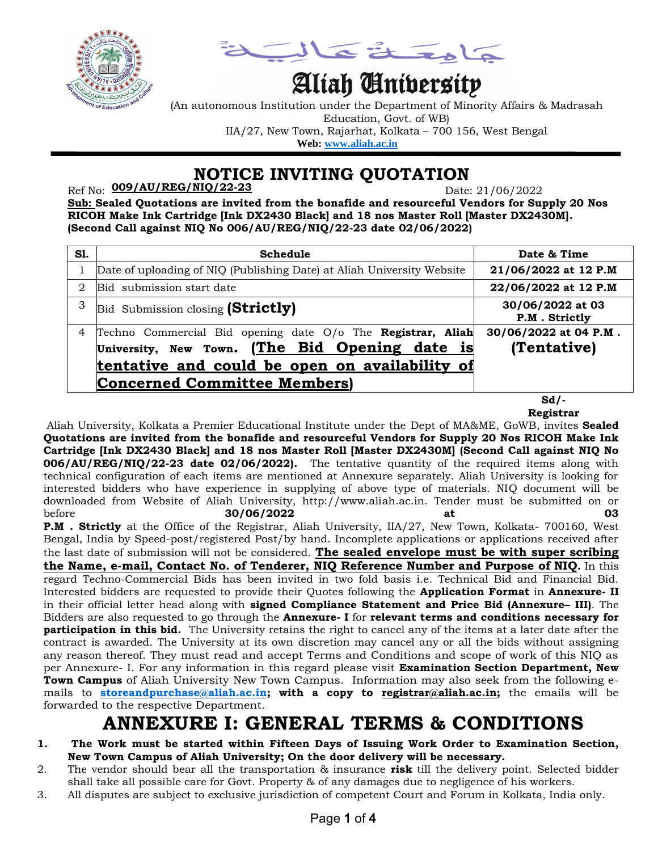

كالمعتلة كه

# Aliah University

(An autonomous Institution under the Department of Minority Affairs & Madrasah Education, Govt. of WB) IIA/27, New Town, Rajarhat, Kolkata – 700 156, West Bengal  **Web: [www.aliah.ac.in](http://www.aliah.ac.in/)**

### **NOTICE INVITING QUOTATION**

Ref No: Date: 21/06/2022 **009/AU/REG/NIQ/22-23**

**Sub: Sealed Quotations are invited from the bonafide and resourceful Vendors for Supply 20 Nos RICOH Make Ink Cartridge [Ink DX2430 Black] and 18 nos Master Roll [Master DX2430M]. (Second Call against NIQ No 006/AU/REG/NIQ/22-23 date 02/06/2022)**

| S1. | Schedule                                                                                                                                                                                               | Date & Time                          |  |
|-----|--------------------------------------------------------------------------------------------------------------------------------------------------------------------------------------------------------|--------------------------------------|--|
|     | Date of uploading of NIQ (Publishing Date) at Aliah University Website                                                                                                                                 | 21/06/2022 at 12 P.M                 |  |
| 2   | Bid submission start date                                                                                                                                                                              | 22/06/2022 at 12 P.M                 |  |
| 3   | Bid Submission closing (Strictly)                                                                                                                                                                      | 30/06/2022 at 03<br>P.M. Strictly    |  |
| 4   | Techno Commercial Bid opening date O/o The Registrar, Aliah<br>University, New Town. (The Bid Opening date is<br>tentative and could be open on availability of<br><b>Concerned Committee Members)</b> | 30/06/2022 at 04 P.M.<br>(Tentative) |  |

**Sd/- Registrar**

Aliah University, Kolkata a Premier Educational Institute under the Dept of MA&ME, GoWB, invites **Sealed Quotations are invited from the bonafide and resourceful Vendors for Supply 20 Nos RICOH Make Ink Cartridge [Ink DX2430 Black] and 18 nos Master Roll [Master DX2430M] (Second Call against NIQ No 006/AU/REG/NIQ/22-23 date 02/06/2022).** The tentative quantity of the required items along with technical configuration of each items are mentioned at Annexure separately. Aliah University is looking for interested bidders who have experience in supplying of above type of materials. NIQ document will be downloaded from Website of Aliah University, http://www.aliah.ac.in. Tender must be submitted on or **before 30/06/2022 at 03** 

P.M . Strictly at the Office of the Registrar, Aliah University, IIA/27, New Town, Kolkata- 700160, West Bengal, India by Speed-post/registered Post/by hand. Incomplete applications or applications received after the last date of submission will not be considered. **The sealed envelope must be with super scribing the Name, e-mail, Contact No. of Tenderer, NIQ Reference Number and Purpose of NIQ.** In this regard Techno-Commercial Bids has been invited in two fold basis i.e. Technical Bid and Financial Bid. Interested bidders are requested to provide their Quotes following the **Application Format** in **Annexure- II** in their official letter head along with **signed Compliance Statement and Price Bid (Annexure– III)**. The Bidders are also requested to go through the **Annexure- I** for **relevant terms and conditions necessary for participation in this bid.** The University retains the right to cancel any of the items at a later date after the contract is awarded. The University at its own discretion may cancel any or all the bids without assigning any reason thereof. They must read and accept Terms and Conditions and scope of work of this NIQ as per Annexure- I. For any information in this regard please visit **Examination Section Department, New Town Campus** of Aliah University New Town Campus. Information may also seek from the following emails to **[storeandpurchase@aliah.ac.in;](mailto:storeandpurchase@aliah.ac.in) with a copy to [registrar@aliah.ac.in;](mailto:registrar@aliah.ac.in)** the emails will be forwarded to the respective Department.

## **ANNEXURE I: GENERAL TERMS & CONDITIONS**

- **1. The Work must be started within Fifteen Days of Issuing Work Order to Examination Section, New Town Campus of Aliah University; On the door delivery will be necessary.**
- 2. The vendor should bear all the transportation & insurance **risk** till the delivery point. Selected bidder shall take all possible care for Govt. Property & of any damages due to negligence of his workers.
- 3. All disputes are subject to exclusive jurisdiction of competent Court and Forum in Kolkata, India only.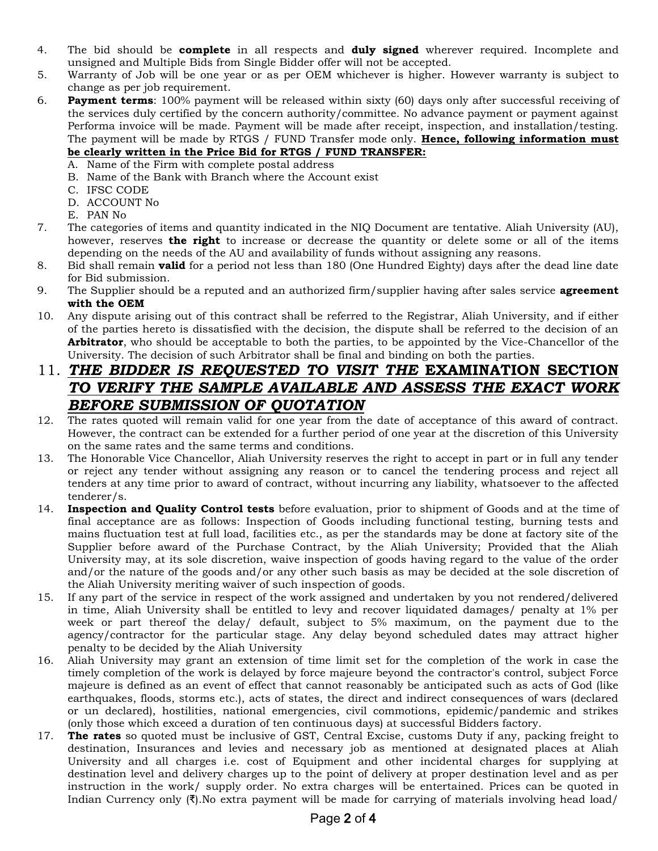- 4. The bid should be **complete** in all respects and **duly signed** wherever required. Incomplete and unsigned and Multiple Bids from Single Bidder offer will not be accepted.
- 5. Warranty of Job will be one year or as per OEM whichever is higher. However warranty is subject to change as per job requirement.
- 6. **Payment terms**: 100% payment will be released within sixty (60) days only after successful receiving of the services duly certified by the concern authority/committee. No advance payment or payment against Performa invoice will be made. Payment will be made after receipt, inspection, and installation/testing. The payment will be made by RTGS / FUND Transfer mode only. **Hence, following information must be clearly written in the Price Bid for RTGS / FUND TRANSFER:**
	- A. Name of the Firm with complete postal address
	- B. Name of the Bank with Branch where the Account exist
	- C. IFSC CODE
	- D. ACCOUNT No
	- E. PAN No
- 7. The categories of items and quantity indicated in the NIQ Document are tentative. Aliah University (AU), however, reserves **the right** to increase or decrease the quantity or delete some or all of the items depending on the needs of the AU and availability of funds without assigning any reasons.
- 8. Bid shall remain **valid** for a period not less than 180 (One Hundred Eighty) days after the dead line date for Bid submission.
- 9. The Supplier should be a reputed and an authorized firm/supplier having after sales service **agreement with the OEM**
- 10. Any dispute arising out of this contract shall be referred to the Registrar, Aliah University, and if either of the parties hereto is dissatisfied with the decision, the dispute shall be referred to the decision of an **Arbitrator**, who should be acceptable to both the parties, to be appointed by the Vice-Chancellor of the University. The decision of such Arbitrator shall be final and binding on both the parties.

#### 11. *THE BIDDER IS REQUESTED TO VISIT THE* **EXAMINATION SECTION** *TO VERIFY THE SAMPLE AVAILABLE AND ASSESS THE EXACT WORK BEFORE SUBMISSION OF QUOTATION*

- 12. The rates quoted will remain valid for one year from the date of acceptance of this award of contract. However, the contract can be extended for a further period of one year at the discretion of this University on the same rates and the same terms and conditions.
- 13. The Honorable Vice Chancellor, Aliah University reserves the right to accept in part or in full any tender or reject any tender without assigning any reason or to cancel the tendering process and reject all tenders at any time prior to award of contract, without incurring any liability, whatsoever to the affected tenderer/s.
- 14. **Inspection and Quality Control tests** before evaluation, prior to shipment of Goods and at the time of final acceptance are as follows: Inspection of Goods including functional testing, burning tests and mains fluctuation test at full load, facilities etc., as per the standards may be done at factory site of the Supplier before award of the Purchase Contract, by the Aliah University; Provided that the Aliah University may, at its sole discretion, waive inspection of goods having regard to the value of the order and/or the nature of the goods and/or any other such basis as may be decided at the sole discretion of the Aliah University meriting waiver of such inspection of goods.
- 15. If any part of the service in respect of the work assigned and undertaken by you not rendered/delivered in time, Aliah University shall be entitled to levy and recover liquidated damages/ penalty at 1% per week or part thereof the delay/ default, subject to 5% maximum, on the payment due to the agency/contractor for the particular stage. Any delay beyond scheduled dates may attract higher penalty to be decided by the Aliah University
- 16. Aliah University may grant an extension of time limit set for the completion of the work in case the timely completion of the work is delayed by force majeure beyond the contractor's control, subject Force majeure is defined as an event of effect that cannot reasonably be anticipated such as acts of God (like earthquakes, floods, storms etc.), acts of states, the direct and indirect consequences of wars (declared or un declared), hostilities, national emergencies, civil commotions, epidemic/pandemic and strikes (only those which exceed a duration of ten continuous days) at successful Bidders factory.
- 17. **The rates** so quoted must be inclusive of GST, Central Excise, customs Duty if any, packing freight to destination, Insurances and levies and necessary job as mentioned at designated places at Aliah University and all charges i.e. cost of Equipment and other incidental charges for supplying at destination level and delivery charges up to the point of delivery at proper destination level and as per instruction in the work/ supply order. No extra charges will be entertained. Prices can be quoted in Indian Currency only (₹).No extra payment will be made for carrying of materials involving head load/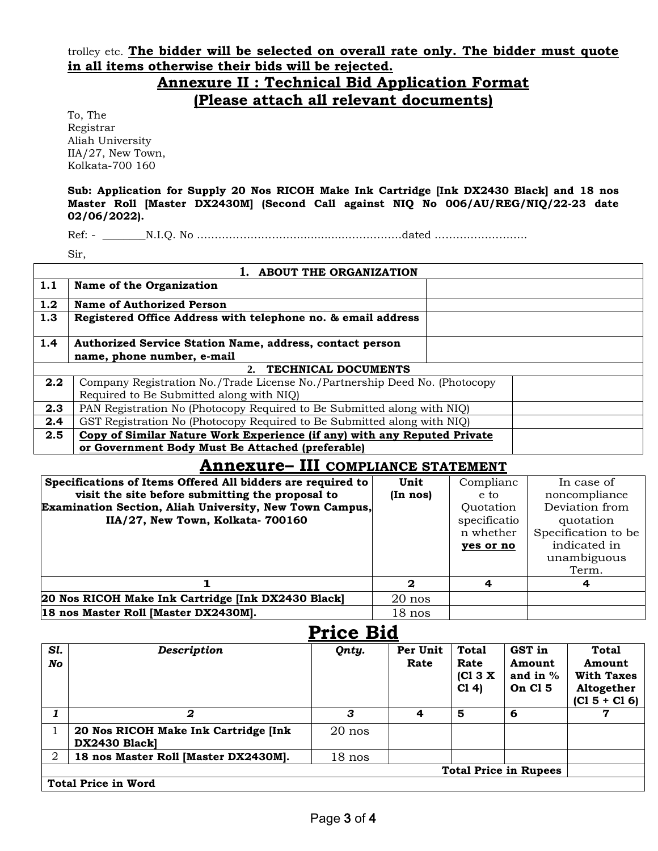trolley etc. **The bidder will be selected on overall rate only. The bidder must quote in all items otherwise their bids will be rejected.**

#### **Annexure II : Technical Bid Application Format (Please attach all relevant documents)**

To, The Registrar Aliah University IIA/27, New Town, Kolkata-700 160

**Sub: Application for Supply 20 Nos RICOH Make Ink Cartridge [Ink DX2430 Black] and 18 nos Master Roll [Master DX2430M] (Second Call against NIQ No 006/AU/REG/NIQ/22-23 date 02/06/2022).**

Ref: - \_\_\_\_\_\_\_\_N.I.Q. No ………………………................……………dated ……………………..

Sir,

| 1. ABOUT THE ORGANIZATION |                                                                            |  |  |
|---------------------------|----------------------------------------------------------------------------|--|--|
| 1.1                       | Name of the Organization                                                   |  |  |
| 1.2                       | Name of Authorized Person                                                  |  |  |
| 1.3                       | Registered Office Address with telephone no. & email address               |  |  |
| 1.4                       | Authorized Service Station Name, address, contact person                   |  |  |
|                           | name, phone number, e-mail                                                 |  |  |
| 2. TECHNICAL DOCUMENTS    |                                                                            |  |  |
| 2.2                       | Company Registration No./Trade License No./Partnership Deed No. (Photocopy |  |  |
|                           | Required to Be Submitted along with NIQ)                                   |  |  |
| 2.3                       | PAN Registration No (Photocopy Required to Be Submitted along with NIQ)    |  |  |
| 2.4                       | GST Registration No (Photocopy Required to Be Submitted along with NIQ)    |  |  |
| 2.5                       | Copy of Similar Nature Work Experience (if any) with any Reputed Private   |  |  |
|                           | or Government Body Must Be Attached (preferable)                           |  |  |

#### **Annexure– III COMPLIANCE STATEMENT**

| Specifications of Items Offered All bidders are required to<br>visit the site before submitting the proposal to<br>Examination Section, Aliah University, New Town Campus,<br>IIA/27, New Town, Kolkata-700160 | Unit<br>(In nos) | Complianc<br>e to<br>Quotation<br>specificatio<br>n whether<br>yes or no | In case of<br>noncompliance<br>Deviation from<br>quotation<br>Specification to be<br>indicated in<br>unambiguous |
|----------------------------------------------------------------------------------------------------------------------------------------------------------------------------------------------------------------|------------------|--------------------------------------------------------------------------|------------------------------------------------------------------------------------------------------------------|
|                                                                                                                                                                                                                |                  |                                                                          | Term.                                                                                                            |
|                                                                                                                                                                                                                | $\mathbf{2}$     |                                                                          | 4                                                                                                                |
| 20 Nos RICOH Make Ink Cartridge [Ink DX2430 Black]                                                                                                                                                             | $20$ nos         |                                                                          |                                                                                                                  |
| 18 nos Master Roll [Master DX2430M].                                                                                                                                                                           | $18$ nos         |                                                                          |                                                                                                                  |

| <b>Price Bid</b> |                                                        |          |                  |                                         |                                           |                                                                       |
|------------------|--------------------------------------------------------|----------|------------------|-----------------------------------------|-------------------------------------------|-----------------------------------------------------------------------|
| Sl.<br>No        | <b>Description</b>                                     | Qnty.    | Per Unit<br>Rate | <b>Total</b><br>Rate<br>[CI 3 X]<br>C14 | GST in<br>Amount<br>and in $%$<br>On Cl 5 | Total<br>Amount<br><b>With Taxes</b><br>Altogether<br>$(C1 5 + C1 6)$ |
|                  | 2                                                      | 3        | 4                | 5                                       | 6                                         | 7                                                                     |
|                  | 20 Nos RICOH Make Ink Cartridge [Ink]<br>DX2430 Blackl | $20$ nos |                  |                                         |                                           |                                                                       |
| $\overline{2}$   | 18 nos Master Roll [Master DX2430M].                   | $18$ nos |                  |                                         |                                           |                                                                       |
|                  |                                                        |          |                  |                                         | <b>Total Price in Rupees</b>              |                                                                       |
|                  | <b>Total Price in Word</b>                             |          |                  |                                         |                                           |                                                                       |